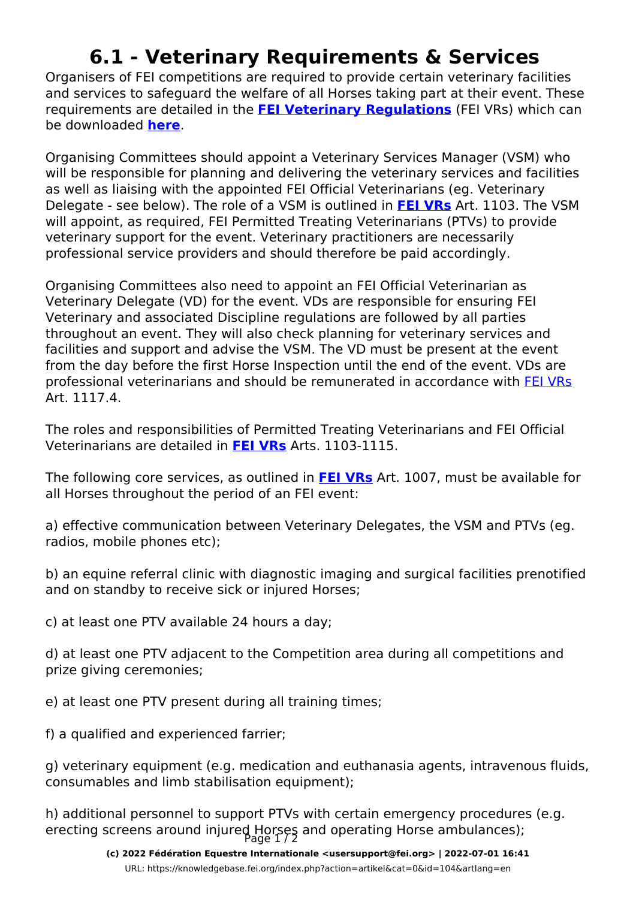## **6.1 - Veterinary Requirements & Services**

Organisers of FEI competitions are required to provide certain veterinary facilities and services to safeguard the welfare of all Horses taking part at their event. These requirements are detailed in the **[FEI Veterinary Regulations](https://inside.fei.org/fei/regulations/veterinary)** (FEI VRs) which can be downloaded **[here](https://inside.fei.org/fei/regulations/veterinary)**.

Organising Committees should appoint a Veterinary Services Manager (VSM) who will be responsible for planning and delivering the veterinary services and facilities as well as liaising with the appointed FEI Official Veterinarians (eg. Veterinary Delegate - see below). The role of a VSM is outlined in **[FEI VRs](https://inside.fei.org/fei/regulations/veterinary)** Art. 1103. The VSM will appoint, as required, FEI Permitted Treating Veterinarians (PTVs) to provide veterinary support for the event. Veterinary practitioners are necessarily professional service providers and should therefore be paid accordingly.

Organising Committees also need to appoint an FEI Official Veterinarian as Veterinary Delegate (VD) for the event. VDs are responsible for ensuring FEI Veterinary and associated Discipline regulations are followed by all parties throughout an event. They will also check planning for veterinary services and facilities and support and advise the VSM. The VD must be present at the event from the day before the first Horse Inspection until the end of the event. VDs are professional veterinarians and should be remunerated in accordance with [FEI VRs](https://inside.fei.org/fei/regulations/veterinary) Art 11174

The roles and responsibilities of Permitted Treating Veterinarians and FEI Official Veterinarians are detailed in **[FEI VRs](https://inside.fei.org/fei/regulations/veterinary)** Arts. 1103-1115.

The following core services, as outlined in **[FEI VRs](https://inside.fei.org/fei/regulations/veterinary)** Art. 1007, must be available for all Horses throughout the period of an FEI event:

a) effective communication between Veterinary Delegates, the VSM and PTVs (eg. radios, mobile phones etc);

b) an equine referral clinic with diagnostic imaging and surgical facilities prenotified and on standby to receive sick or injured Horses;

c) at least one PTV available 24 hours a day;

d) at least one PTV adjacent to the Competition area during all competitions and prize giving ceremonies;

e) at least one PTV present during all training times;

f) a qualified and experienced farrier;

g) veterinary equipment (e.g. medication and euthanasia agents, intravenous fluids, consumables and limb stabilisation equipment);

h) additional personnel to support PTVs with certain emergency procedures (e.g. erecting screens around injured Horses and operating Horse ambulances);